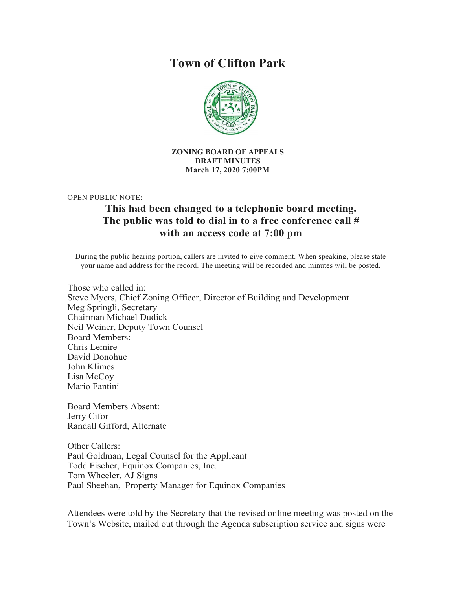# **Town of Clifton Park**



#### **ZONING BOARD OF APPEALS DRAFT MINUTES March 17, 2020 7:00PM**

OPEN PUBLIC NOTE:

## **This had been changed to a telephonic board meeting. The public was told to dial in to a free conference call # with an access code at 7:00 pm**

During the public hearing portion, callers are invited to give comment. When speaking, please state your name and address for the record. The meeting will be recorded and minutes will be posted.

Those who called in: Steve Myers, Chief Zoning Officer, Director of Building and Development Meg Springli, Secretary Chairman Michael Dudick Neil Weiner, Deputy Town Counsel Board Members: Chris Lemire David Donohue John Klimes Lisa McCoy Mario Fantini

Board Members Absent: Jerry Cifor Randall Gifford, Alternate

Other Callers: Paul Goldman, Legal Counsel for the Applicant Todd Fischer, Equinox Companies, Inc. Tom Wheeler, AJ Signs Paul Sheehan, Property Manager for Equinox Companies

Attendees were told by the Secretary that the revised online meeting was posted on the Town's Website, mailed out through the Agenda subscription service and signs were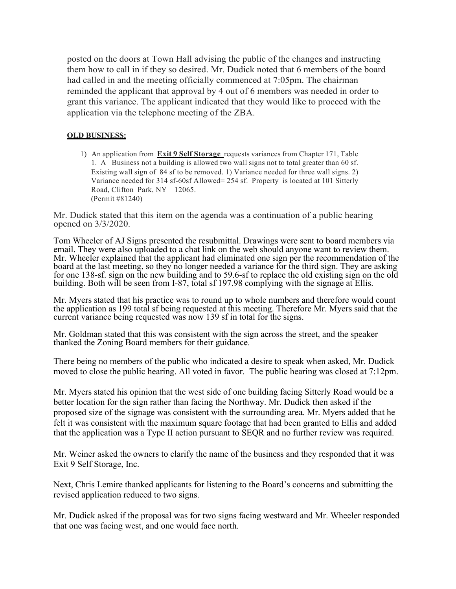posted on the doors at Town Hall advising the public of the changes and instructing them how to call in if they so desired. Mr. Dudick noted that 6 members of the board had called in and the meeting officially commenced at 7:05pm. The chairman reminded the applicant that approval by 4 out of 6 members was needed in order to grant this variance. The applicant indicated that they would like to proceed with the application via the telephone meeting of the ZBA.

### **OLD BUSINESS:**

1) An application from **Exit 9 Self Storage** requests variances from Chapter 171, Table 1. A Business not a building is allowed two wall signs not to total greater than 60 sf. Existing wall sign of 84 sf to be removed. 1) Variance needed for three wall signs. 2) Variance needed for 314 sf-60sf Allowed= 254 sf. Property is located at 101 Sitterly Road, Clifton Park, NY 12065. (Permit #81240)

Mr. Dudick stated that this item on the agenda was a continuation of a public hearing opened on 3/3/2020.

Tom Wheeler of AJ Signs presented the resubmittal. Drawings were sent to board members via email. They were also uploaded to a chat link on the web should anyone want to review them. Mr. Wheeler explained that the applicant had eliminated one sign per the recommendation of the board at the last meeting, so they no longer needed a variance for the third sign. They are asking for one 138-sf. sign on the new building and to 59.6-sf to replace the old existing sign on the old building. Both will be seen from I-87, total sf 197.98 complying with the signage at Ellis.

Mr. Myers stated that his practice was to round up to whole numbers and therefore would count the application as 199 total sf being requested at this meeting. Therefore Mr. Myers said that the current variance being requested was now 139 sf in total for the signs.

Mr. Goldman stated that this was consistent with the sign across the street, and the speaker thanked the Zoning Board members for their guidance.

There being no members of the public who indicated a desire to speak when asked, Mr. Dudick moved to close the public hearing. All voted in favor. The public hearing was closed at 7:12pm.

Mr. Myers stated his opinion that the west side of one building facing Sitterly Road would be a better location for the sign rather than facing the Northway. Mr. Dudick then asked if the proposed size of the signage was consistent with the surrounding area. Mr. Myers added that he felt it was consistent with the maximum square footage that had been granted to Ellis and added that the application was a Type II action pursuant to SEQR and no further review was required.

Mr. Weiner asked the owners to clarify the name of the business and they responded that it was Exit 9 Self Storage, Inc.

Next, Chris Lemire thanked applicants for listening to the Board's concerns and submitting the revised application reduced to two signs.

Mr. Dudick asked if the proposal was for two signs facing westward and Mr. Wheeler responded that one was facing west, and one would face north.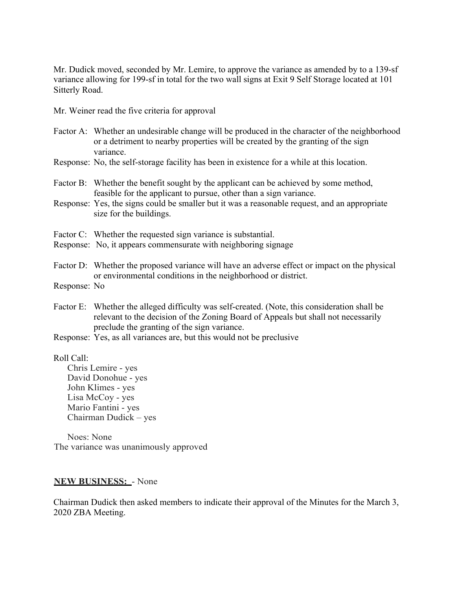Mr. Dudick moved, seconded by Mr. Lemire, to approve the variance as amended by to a 139-sf variance allowing for 199-sf in total for the two wall signs at Exit 9 Self Storage located at 101 Sitterly Road.

Mr. Weiner read the five criteria for approval

- Factor A: Whether an undesirable change will be produced in the character of the neighborhood or a detriment to nearby properties will be created by the granting of the sign variance.
- Response: No, the self-storage facility has been in existence for a while at this location.
- Factor B: Whether the benefit sought by the applicant can be achieved by some method, feasible for the applicant to pursue, other than a sign variance.
- Response: Yes, the signs could be smaller but it was a reasonable request, and an appropriate size for the buildings.
- Factor C: Whether the requested sign variance is substantial.
- Response: No, it appears commensurate with neighboring signage
- Factor D: Whether the proposed variance will have an adverse effect or impact on the physical or environmental conditions in the neighborhood or district.
- Response: No
- Factor E: Whether the alleged difficulty was self-created. (Note, this consideration shall be relevant to the decision of the Zoning Board of Appeals but shall not necessarily preclude the granting of the sign variance.
- Response: Yes, as all variances are, but this would not be preclusive

Roll Call:

Chris Lemire - yes David Donohue - yes John Klimes - yes Lisa McCoy - yes Mario Fantini - yes Chairman Dudick – yes

Noes: None The variance was unanimously approved

### **NEW BUSINESS:** - None

Chairman Dudick then asked members to indicate their approval of the Minutes for the March 3, 2020 ZBA Meeting.